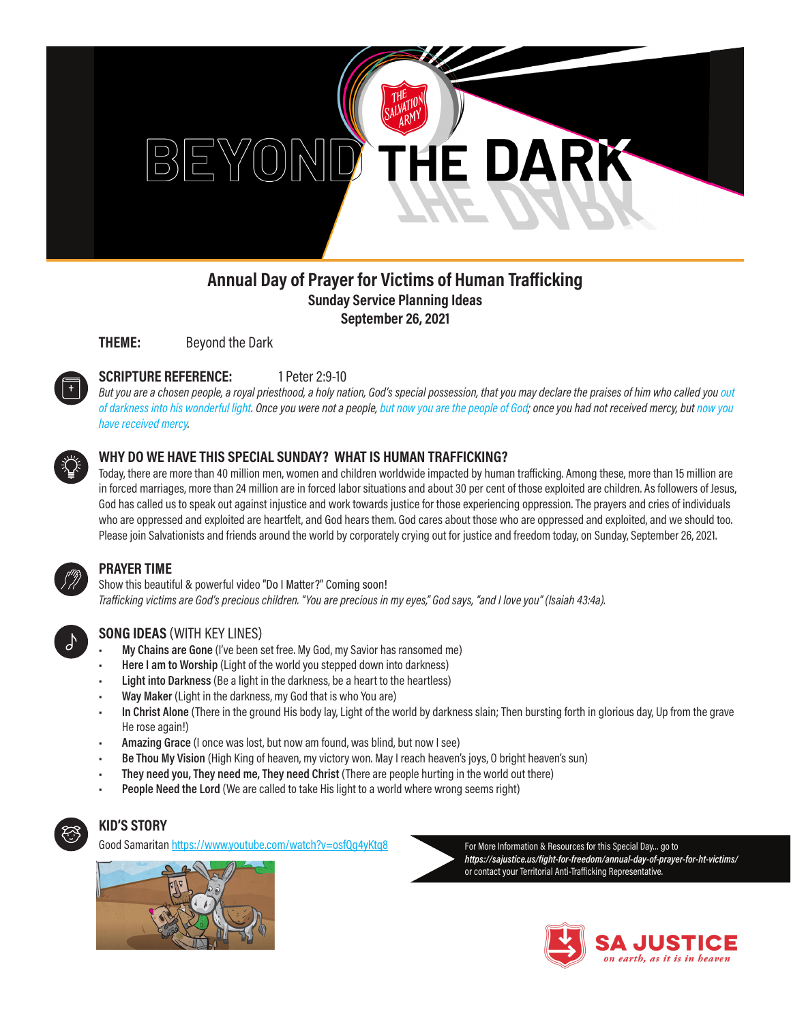# THE DARK  $\frac{D}{D}\left\{ \frac{D}{D}\right\}$

# **Annual Day of Prayer for Victims of Human Trafficking Sunday Service Planning Ideas**

**September 26, 2021**

**THEME:** Beyond the Dark

# **SCRIPTURE REFERENCE:** 1 Peter 2:9-10

*But you are a chosen people, a royal priesthood, a holy nation, God's special possession, that you may declare the praises of him who called you out of darkness into his wonderful light. Once you were not a people, but now you are the people of God; once you had not received mercy, but now you have received mercy.*



# **WHY DO WE HAVE THIS SPECIAL SUNDAY? WHAT IS HUMAN TRAFFICKING?**

Today, there are more than 40 million men, women and children worldwide impacted by human trafficking. Among these, more than 15 million are in forced marriages, more than 24 million are in forced labor situations and about 30 per cent of those exploited are children. As followers of Jesus, God has called us to speak out against injustice and work towards justice for those experiencing oppression. The prayers and cries of individuals who are oppressed and exploited are heartfelt, and God hears them. God cares about those who are oppressed and exploited, and we should too. Please join Salvationists and friends around the world by corporately crying out for justice and freedom today, on Sunday, September 26, 2021.



# **PRAYER TIME**

Show this beautiful & powerful video "Do I Matter?" Coming soon! *Trafficking victims are God's precious children. "You are precious in my eyes," God says, "and I love you" (Isaiah 43:4a).* 



## **SONG IDEAS** (WITH KEY LINES)

- **• My Chains are Gone** (I've been set free. My God, my Savior has ransomed me)
- **• Here I am to Worship** (Light of the world you stepped down into darkness)
- **• Light into Darkness** (Be a light in the darkness, be a heart to the heartless)
- **• Way Maker** (Light in the darkness, my God that is who You are)
- **• In Christ Alone** (There in the ground His body lay, Light of the world by darkness slain; Then bursting forth in glorious day, Up from the grave He rose again!)
- **• Amazing Grace** (I once was lost, but now am found, was blind, but now I see)
- **• Be Thou My Vision** (High King of heaven, my victory won. May I reach heaven's joys, O bright heaven's sun)
- **• They need you, They need me, They need Christ** (There are people hurting in the world out there)
- **• People Need the Lord** (We are called to take His light to a world where wrong seems right)



# **KID'S STORY**

Good Samaritan https://www.youtube.com/watch?v=osfQg4yKtq8 For More Information & Resources for this Special Day... go to



*https://sajustice.us/fight-for-freedom/annual-day-of-prayer-for-ht-victims/*  or contact your Territorial Anti-Trafficking Representative.